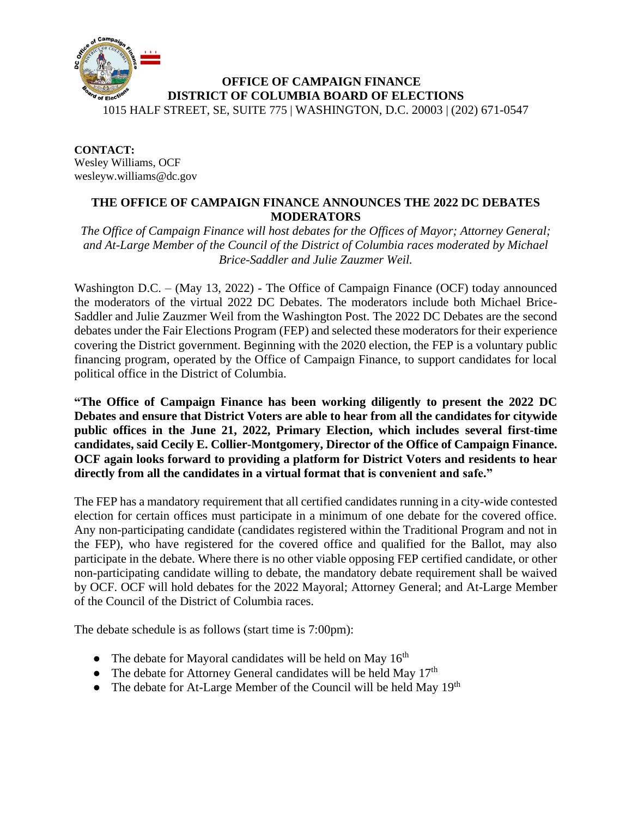

**CONTACT:** Wesley Williams, OCF wesleyw.williams@dc.gov

## **THE OFFICE OF CAMPAIGN FINANCE ANNOUNCES THE 2022 DC DEBATES MODERATORS**

*The Office of Campaign Finance will host debates for the Offices of Mayor; Attorney General; and At-Large Member of the Council of the District of Columbia races moderated by Michael Brice-Saddler and Julie Zauzmer Weil.*

Washington D.C. – (May 13, 2022) - The Office of Campaign Finance (OCF) today announced the moderators of the virtual 2022 DC Debates. The moderators include both Michael Brice-Saddler and Julie Zauzmer Weil from the Washington Post. The 2022 DC Debates are the second debates under the Fair Elections Program (FEP) and selected these moderators for their experience covering the District government. Beginning with the 2020 election, the FEP is a voluntary public financing program, operated by the Office of Campaign Finance, to support candidates for local political office in the District of Columbia.

**"The Office of Campaign Finance has been working diligently to present the 2022 DC Debates and ensure that District Voters are able to hear from all the candidates for citywide public offices in the June 21, 2022, Primary Election, which includes several first-time candidates, said Cecily E. Collier-Montgomery, Director of the Office of Campaign Finance. OCF again looks forward to providing a platform for District Voters and residents to hear directly from all the candidates in a virtual format that is convenient and safe."** 

The FEP has a mandatory requirement that all certified candidates running in a city-wide contested election for certain offices must participate in a minimum of one debate for the covered office. Any non-participating candidate (candidates registered within the Traditional Program and not in the FEP), who have registered for the covered office and qualified for the Ballot, may also participate in the debate. Where there is no other viable opposing FEP certified candidate, or other non-participating candidate willing to debate, the mandatory debate requirement shall be waived by OCF. OCF will hold debates for the 2022 Mayoral; Attorney General; and At-Large Member of the Council of the District of Columbia races.

The debate schedule is as follows (start time is 7:00pm):

- The debate for Mayoral candidates will be held on May  $16<sup>th</sup>$
- The debate for Attorney General candidates will be held May  $17<sup>th</sup>$
- The debate for At-Large Member of the Council will be held May  $19<sup>th</sup>$